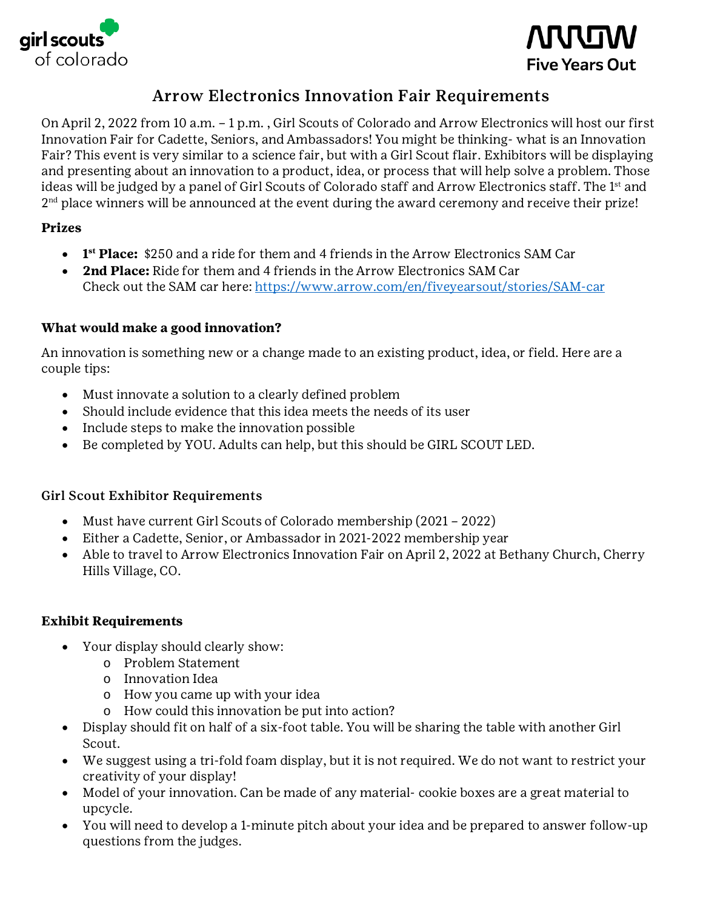



# Arrow Electronics Innovation Fair Requirements

On April 2, 2022 from 10 a.m. – 1 p.m. , Girl Scouts of Colorado and Arrow Electronics will host our first Innovation Fair for Cadette, Seniors, and Ambassadors! You might be thinking- what is an Innovation Fair? This event is very similar to a science fair, but with a Girl Scout flair. Exhibitors will be displaying and presenting about an innovation to a product, idea, or process that will help solve a problem. Those ideas will be judged by a panel of Girl Scouts of Colorado staff and Arrow Electronics staff. The 1<sup>st</sup> and 2<sup>nd</sup> place winners will be announced at the event during the award ceremony and receive their prize!

### **Prizes**

- **1st Place:** \$250 and a ride for them and 4 friends in the Arrow Electronics SAM Car
- **2nd Place:** Ride for them and 4 friends in the Arrow Electronics SAM Car Check out the SAM car here:<https://www.arrow.com/en/fiveyearsout/stories/SAM-car>

## **What would make a good innovation?**

An innovation is something new or a change made to an existing product, idea, or field. Here are a couple tips:

- Must innovate a solution to a clearly defined problem
- Should include evidence that this idea meets the needs of its user
- Include steps to make the innovation possible
- Be completed by YOU. Adults can help, but this should be GIRL SCOUT LED.

#### Girl Scout Exhibitor Requirements

- Must have current Girl Scouts of Colorado membership (2021 2022)
- Either a Cadette, Senior, or Ambassador in 2021-2022 membership year
- Able to travel to Arrow Electronics Innovation Fair on April 2, 2022 at Bethany Church, Cherry Hills Village, CO.

#### **Exhibit Requirements**

- Your display should clearly show:
	- o Problem Statement
	- o Innovation Idea
	- o How you came up with your idea
	- o How could this innovation be put into action?
- Display should fit on half of a six-foot table. You will be sharing the table with another Girl Scout.
- We suggest using a tri-fold foam display, but it is not required. We do not want to restrict your creativity of your display!
- Model of your innovation. Can be made of any material- cookie boxes are a great material to upcycle.
- You will need to develop a 1-minute pitch about your idea and be prepared to answer follow-up questions from the judges.